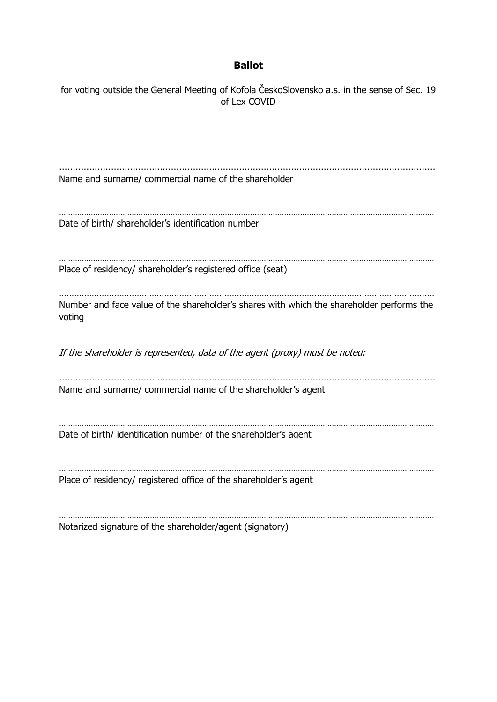## **Ballot**

for voting outside the General Meeting of Kofola ČeskoSlovensko a.s. in the sense of Sec. 19 of Lex COVID ………………………………………………………………………………………………………………………… Name and surname/ commercial name of the shareholder ………………………………………………………………………………………………………………………………………………… Date of birth/ shareholder's identification number ………………………………………………………………………………………………………………………………………………… Place of residency/ shareholder's registered office (seat) …………………………………………………………………………………………………………………………………… Number and face value of the shareholder's shares with which the shareholder performs the voting If the shareholder is represented, data of the agent (proxy) must be noted: ………………………………………………………………………………………………………………………… Name and surname/ commercial name of the shareholder's agent ………………………………………………………………………………………………………………………………………………… Date of birth/ identification number of the shareholder's agent ………………………………………………………………………………………………………………………………………………… Place of residency/ registered office of the shareholder's agent ………………………………………………………………………………………………………………………………………………… Notarized signature of the shareholder/agent (signatory)